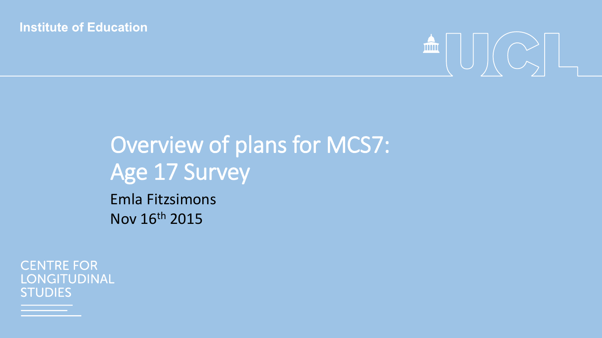#### **Institute of Education**



# Overview of plans for MCS7: Age 17 Survey

Emla Fitzsimons Nov 16th 2015

**CENTRE FOR** LONGITUDINAL **STUDIES**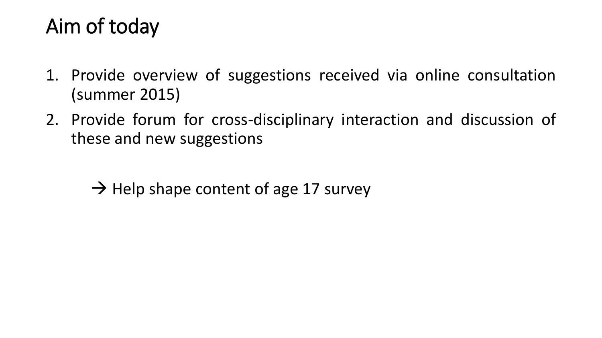## Aim of today

- 1. Provide overview of suggestions received via online consultation (summer 2015)
- 2. Provide forum for cross-disciplinary interaction and discussion of these and new suggestions
	- $\rightarrow$  Help shape content of age 17 survey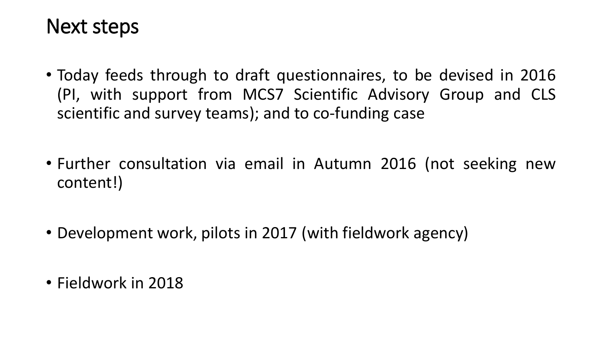### Next steps

- Today feeds through to draft questionnaires, to be devised in 2016 (PI, with support from MCS7 Scientific Advisory Group and CLS scientific and survey teams); and to co-funding case
- Further consultation via email in Autumn 2016 (not seeking new content!)
- Development work, pilots in 2017 (with fieldwork agency)
- Fieldwork in 2018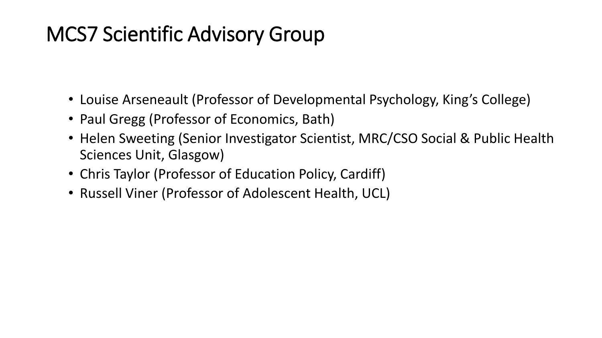## MCS7 Scientific Advisory Group

- Louise Arseneault (Professor of Developmental Psychology, King's College)
- Paul Gregg (Professor of Economics, Bath)
- Helen Sweeting (Senior Investigator Scientist, MRC/CSO Social & Public Health Sciences Unit, Glasgow)
- Chris Taylor (Professor of Education Policy, Cardiff)
- Russell Viner (Professor of Adolescent Health, UCL)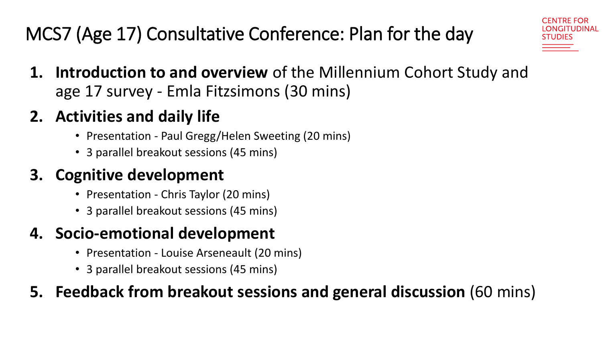## MCS7 (Age 17) Consultative Conference: Plan for the day

**1. Introduction to and overview** of the Millennium Cohort Study and age 17 survey - Emla Fitzsimons (30 mins)

#### **2. Activities and daily life**

- Presentation Paul Gregg/Helen Sweeting (20 mins)
- 3 parallel breakout sessions (45 mins)

#### **3. Cognitive development**

- Presentation Chris Taylor (20 mins)
- 3 parallel breakout sessions (45 mins)

### **4. Socio-emotional development**

- Presentation Louise Arseneault (20 mins)
- 3 parallel breakout sessions (45 mins)

#### **5. Feedback from breakout sessions and general discussion** (60 mins)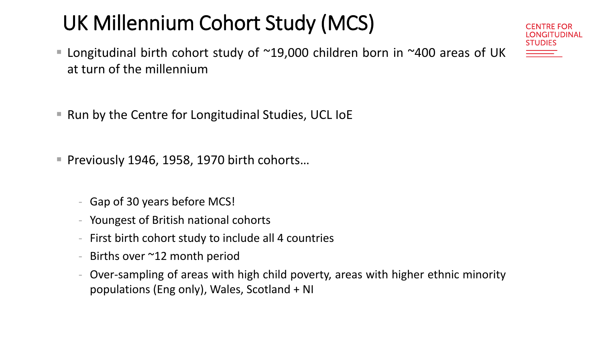# UK Millennium Cohort Study (MCS)

- Longitudinal birth cohort study of  $^{\sim}19,000$  children born in  $^{\sim}400$  areas of UK at turn of the millennium
- Run by the Centre for Longitudinal Studies, UCL IoE
- Previously 1946, 1958, 1970 birth cohorts...
	- Gap of 30 years before MCS!
	- Youngest of British national cohorts
	- First birth cohort study to include all 4 countries
	- Births over  $\sim$ 12 month period
	- Over-sampling of areas with high child poverty, areas with higher ethnic minority populations (Eng only), Wales, Scotland + NI

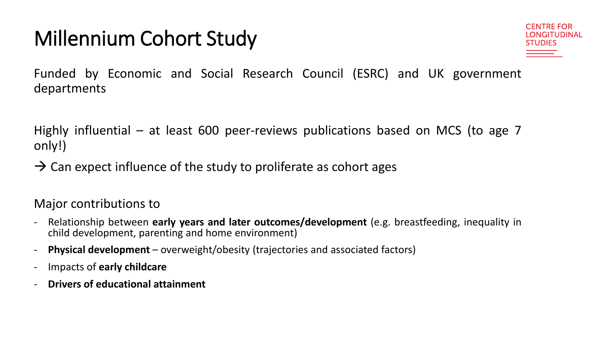# Millennium Cohort Study



Funded by Economic and Social Research Council (ESRC) and UK government departments

Highly influential – at least 600 peer-reviews publications based on MCS (to age 7 only!)

 $\rightarrow$  Can expect influence of the study to proliferate as cohort ages

Major contributions to

- Relationship between **early years and later outcomes/development** (e.g. breastfeeding, inequality in child development, parenting and home environment)
- **Physical development** overweight/obesity (trajectories and associated factors)
- Impacts of **early childcare**
- **Drivers of educational attainment**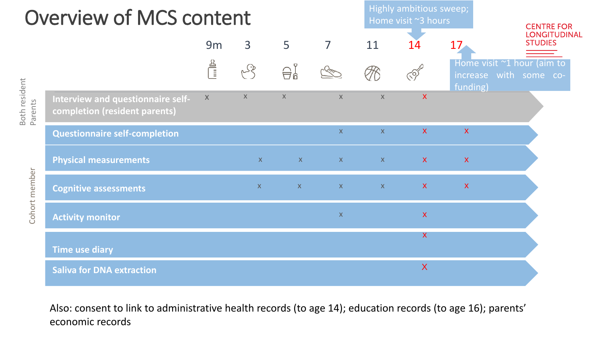# Overview of MCS content

Highly ambitious sweep; Home visit ~3 hours

| <b>CENTRE FOR</b><br>LONGITUDINAL<br><b>STUDIES</b> |
|-----------------------------------------------------|
| $\sim$ 1 hour loim to                               |

|                                           |                                                                    | $\frac{2}{\sqrt{2}}$ |                |              |              |                           |                           | Home visit ~1 hour (aim to<br>increase with some co-<br>funding) |  |
|-------------------------------------------|--------------------------------------------------------------------|----------------------|----------------|--------------|--------------|---------------------------|---------------------------|------------------------------------------------------------------|--|
| Both resident<br>Parents<br>Cohort member | Interview and questionnaire self-<br>completion (resident parents) | $\mathsf{X}$         | $\mathsf X$    | $\mathsf X$  | $\mathsf X$  | $\mathsf X$               | $\boldsymbol{\mathsf{X}}$ |                                                                  |  |
|                                           | <b>Questionnaire self-completion</b>                               |                      |                |              | $\mathsf{X}$ | $\mathsf{X}$              | $\mathsf{X}$              | $\mathbf{X}$                                                     |  |
|                                           | <b>Physical measurements</b>                                       |                      | X              |              | $X$ and $X$  | $\mathbf{X} = \mathbf{X}$ | $\mathbf{X}$              | $\mathbf{X}$                                                     |  |
|                                           | <b>Cognitive assessments</b>                                       |                      | $\mathsf{X}^-$ | $\mathbf{X}$ | $\mathbf{X}$ | X                         | $\mathbf{X}$              | $\mathbf{X}$                                                     |  |
|                                           | <b>Activity monitor</b>                                            |                      |                |              | $\mathsf{X}$ |                           | $\mathbf{X}$              |                                                                  |  |
|                                           | <b>Time use diary</b>                                              |                      |                |              |              |                           | $\mathsf{X}$              |                                                                  |  |
|                                           | <b>Saliva for DNA extraction</b>                                   |                      |                |              |              |                           | $\boldsymbol{\mathsf{X}}$ |                                                                  |  |

9m 3 5 7 11 14 17

Also: consent to link to administrative health records (to age 14); education records (to age 16); parents' economic records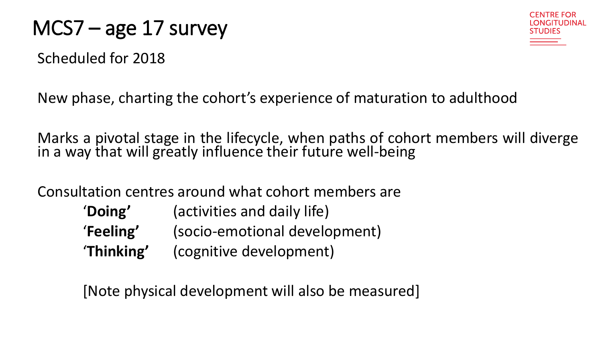### MCS7 – age 17 survey

Scheduled for 2018



New phase, charting the cohort's experience of maturation to adulthood

Marks a pivotal stage in the lifecycle, when paths of cohort members will diverge in a way that will greatly influence their future well-being

Consultation centres around what cohort members are

| 'Doing'    | (activities and daily life)   |
|------------|-------------------------------|
| 'Feeling'  | (socio-emotional development) |
| 'Thinking' | (cognitive development)       |

[Note physical development will also be measured]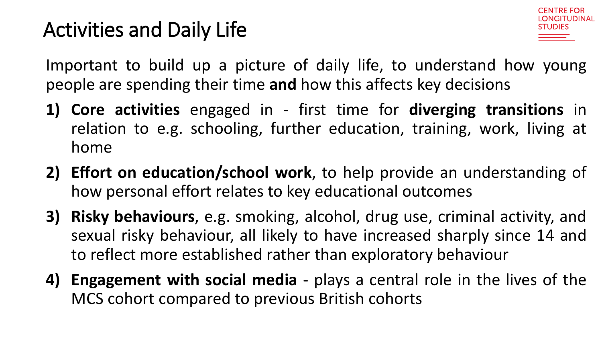# Activities and Daily Life



Important to build up a picture of daily life, to understand how young people are spending their time **and** how this affects key decisions

- **1) Core activities** engaged in first time for **diverging transitions** in relation to e.g. schooling, further education, training, work, living at home
- **2) Effort on education/school work**, to help provide an understanding of how personal effort relates to key educational outcomes
- **3) Risky behaviours**, e.g. smoking, alcohol, drug use, criminal activity, and sexual risky behaviour, all likely to have increased sharply since 14 and to reflect more established rather than exploratory behaviour
- **4) Engagement with social media** plays a central role in the lives of the MCS cohort compared to previous British cohorts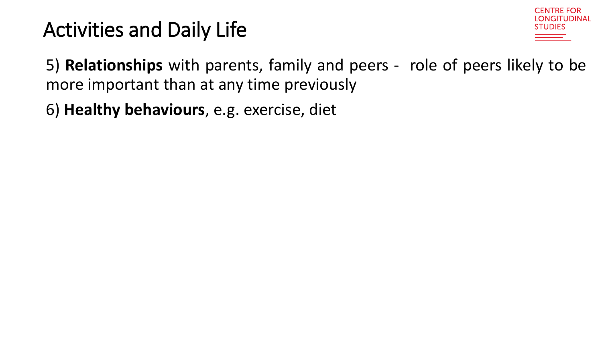# Activities and Daily Life



5) **Relationships** with parents, family and peers - role of peers likely to be more important than at any time previously

6) **Healthy behaviours**, e.g. exercise, diet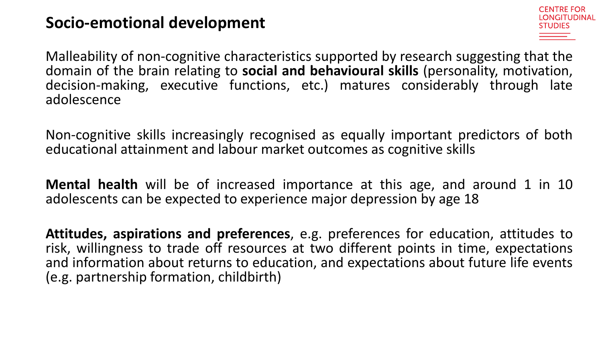#### **Socio-emotional development**



Malleability of non-cognitive characteristics supported by research suggesting that the domain of the brain relating to **social and behavioural skills** (personality, motivation, decision-making, executive functions, etc.) matures considerably through late adolescence

Non-cognitive skills increasingly recognised as equally important predictors of both educational attainment and labour market outcomes as cognitive skills

**Mental health** will be of increased importance at this age, and around 1 in 10 adolescents can be expected to experience major depression by age 18

**Attitudes, aspirations and preferences**, e.g. preferences for education, attitudes to risk, willingness to trade off resources at two different points in time, expectations and information about returns to education, and expectations about future life events (e.g. partnership formation, childbirth)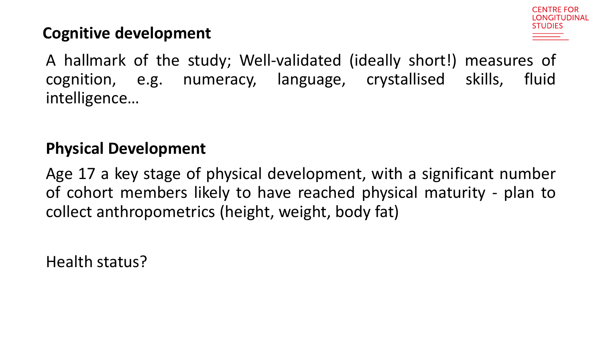

#### **Cognitive development**

A hallmark of the study; Well-validated (ideally short!) measures of cognition, e.g. numeracy, language, crystallised skills, fluid intelligence…

#### **Physical Development**

Age 17 a key stage of physical development, with a significant number of cohort members likely to have reached physical maturity - plan to collect anthropometrics (height, weight, body fat)

Health status?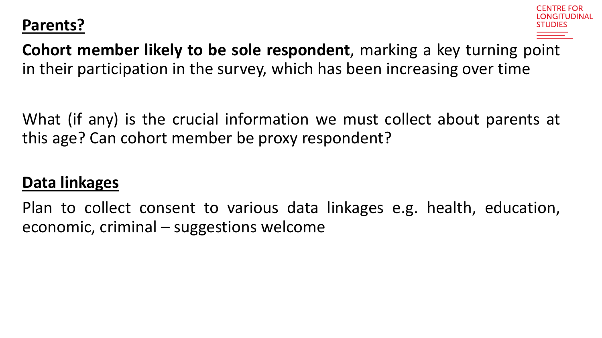#### **Parents?**



**Cohort member likely to be sole respondent**, marking a key turning point in their participation in the survey, which has been increasing over time

What (if any) is the crucial information we must collect about parents at this age? Can cohort member be proxy respondent?

#### **Data linkages**

Plan to collect consent to various data linkages e.g. health, education, economic, criminal – suggestions welcome